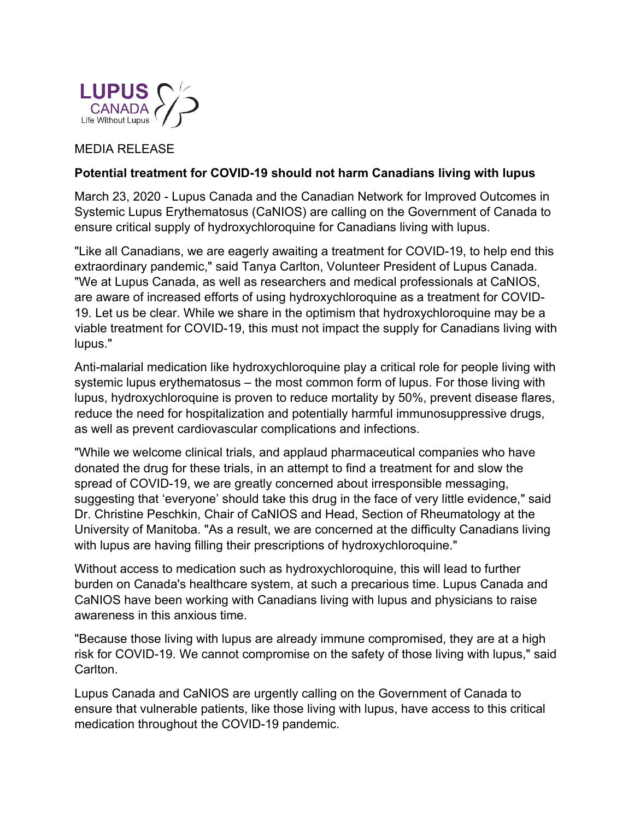

## MEDIA RELEASE

## **Potential treatment for COVID-19 should not harm Canadians living with lupus**

March 23, 2020 - Lupus Canada and the Canadian Network for Improved Outcomes in Systemic Lupus Erythematosus (CaNIOS) are calling on the Government of Canada to ensure critical supply of hydroxychloroquine for Canadians living with lupus.

"Like all Canadians, we are eagerly awaiting a treatment for COVID-19, to help end this extraordinary pandemic," said Tanya Carlton, Volunteer President of Lupus Canada. "We at Lupus Canada, as well as researchers and medical professionals at CaNIOS, are aware of increased efforts of using hydroxychloroquine as a treatment for COVID-19. Let us be clear. While we share in the optimism that hydroxychloroquine may be a viable treatment for COVID-19, this must not impact the supply for Canadians living with lupus."

Anti-malarial medication like hydroxychloroquine play a critical role for people living with systemic lupus erythematosus – the most common form of lupus. For those living with lupus, hydroxychloroquine is proven to reduce mortality by 50%, prevent disease flares, reduce the need for hospitalization and potentially harmful immunosuppressive drugs, as well as prevent cardiovascular complications and infections.

"While we welcome clinical trials, and applaud pharmaceutical companies who have donated the drug for these trials, in an attempt to find a treatment for and slow the spread of COVID-19, we are greatly concerned about irresponsible messaging, suggesting that 'everyone' should take this drug in the face of very little evidence," said Dr. Christine Peschkin, Chair of CaNIOS and Head, Section of Rheumatology at the University of Manitoba. "As a result, we are concerned at the difficulty Canadians living with lupus are having filling their prescriptions of hydroxychloroquine."

Without access to medication such as hydroxychloroquine, this will lead to further burden on Canada's healthcare system, at such a precarious time. Lupus Canada and CaNIOS have been working with Canadians living with lupus and physicians to raise awareness in this anxious time.

"Because those living with lupus are already immune compromised, they are at a high risk for COVID-19. We cannot compromise on the safety of those living with lupus," said Carlton.

Lupus Canada and CaNIOS are urgently calling on the Government of Canada to ensure that vulnerable patients, like those living with lupus, have access to this critical medication throughout the COVID-19 pandemic.